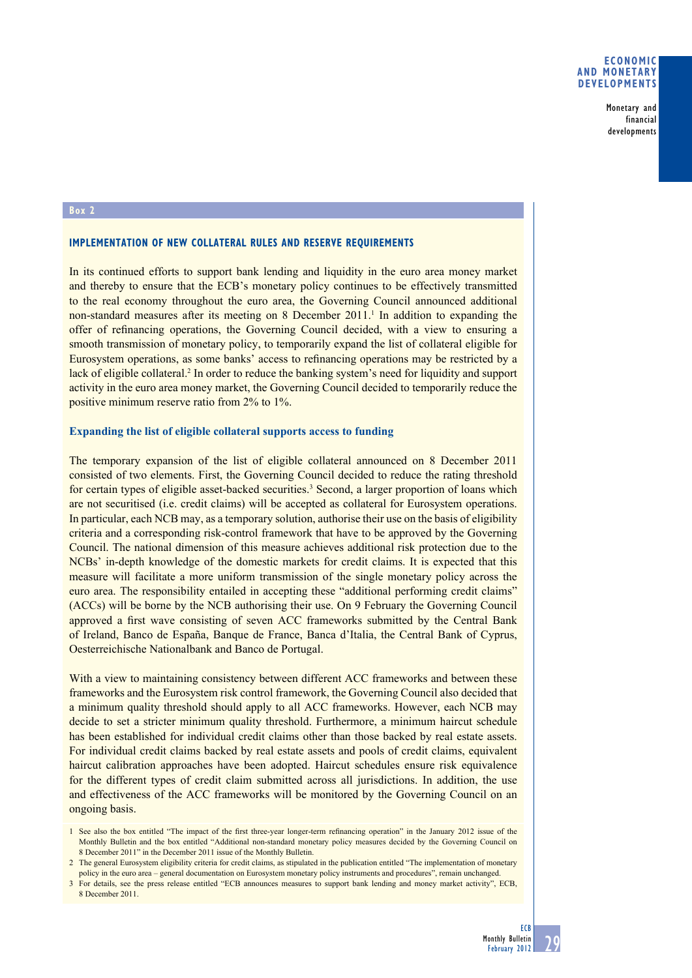## **Economic and monetary developments**

Monetary and financial developments

#### **Box 2**

### **Implementation of new collateral rules and reserve requirements**

In its continued efforts to support bank lending and liquidity in the euro area money market and thereby to ensure that the ECB's monetary policy continues to be effectively transmitted to the real economy throughout the euro area, the Governing Council announced additional non-standard measures after its meeting on 8 December 2011.<sup>1</sup> In addition to expanding the offer of refinancing operations, the Governing Council decided, with a view to ensuring a smooth transmission of monetary policy, to temporarily expand the list of collateral eligible for Eurosystem operations, as some banks' access to refinancing operations may be restricted by a lack of eligible collateral.<sup>2</sup> In order to reduce the banking system's need for liquidity and support activity in the euro area money market, the Governing Council decided to temporarily reduce the positive minimum reserve ratio from 2% to 1%.

## **Expanding the list of eligible collateral supports access to funding**

The temporary expansion of the list of eligible collateral announced on 8 December 2011 consisted of two elements. First, the Governing Council decided to reduce the rating threshold for certain types of eligible asset-backed securities.<sup>3</sup> Second, a larger proportion of loans which are not securitised (i.e. credit claims) will be accepted as collateral for Eurosystem operations. In particular, each NCB may, as a temporary solution, authorise their use on the basis of eligibility criteria and a corresponding risk-control framework that have to be approved by the Governing Council. The national dimension of this measure achieves additional risk protection due to the NCBs' in-depth knowledge of the domestic markets for credit claims. It is expected that this measure will facilitate a more uniform transmission of the single monetary policy across the euro area. The responsibility entailed in accepting these "additional performing credit claims" (ACCs) will be borne by the NCB authorising their use. On 9 February the Governing Council approved a first wave consisting of seven ACC frameworks submitted by the Central Bank of Ireland, Banco de España, Banque de France, Banca d'Italia, the Central Bank of Cyprus, Oesterreichische Nationalbank and Banco de Portugal.

With a view to maintaining consistency between different ACC frameworks and between these frameworks and the Eurosystem risk control framework, the Governing Council also decided that a minimum quality threshold should apply to all ACC frameworks. However, each NCB may decide to set a stricter minimum quality threshold. Furthermore, a minimum haircut schedule has been established for individual credit claims other than those backed by real estate assets. For individual credit claims backed by real estate assets and pools of credit claims, equivalent haircut calibration approaches have been adopted. Haircut schedules ensure risk equivalence for the different types of credit claim submitted across all jurisdictions. In addition, the use and effectiveness of the ACC frameworks will be monitored by the Governing Council on an ongoing basis.

<sup>1</sup> See also the box entitled "The impact of the first three-year longer-term refinancing operation" in the January 2012 issue of the Monthly Bulletin and the box entitled "Additional non-standard monetary policy measures decided by the Governing Council on 8 December 2011" in the December 2011 issue of the Monthly Bulletin.

<sup>2</sup> The general Eurosystem eligibility criteria for credit claims, as stipulated in the publication entitled "The implementation of monetary policy in the euro area – general documentation on Eurosystem monetary policy instruments and procedures", remain unchanged.

<sup>3</sup> For details, see the press release entitled "ECB announces measures to support bank lending and money market activity", ECB, 8 December 2011.